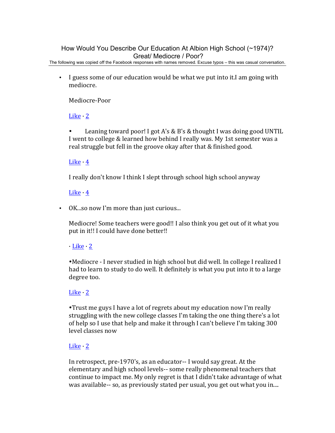# How Would You Describe Our Education At Albion High School (~1974)? Great/ Mediocre / Poor?

The following was copied off the Facebook responses with names removed. Excuse typos – this was casual conversation.

• I guess some of our education would be what we put into it.I am going with mediocre.

Mediocre-Poor

Like 2

• Leaning toward poor! I got A's & B's & thought I was doing good UNTIL I went to college & learned how behind I really was. My 1st semester was a real struggle but fell in the groove okay after that & finished good.

### Like  $\cdot$  4

I really don't know I think I slept through school high school anyway

### Like  $\cdot$  4

• OK so now I'm more than just curious...

Mediocre! Some teachers were good!! I also think you get out of it what you put in it!! I could have done better!!

# $\cdot$  Like  $\cdot$  2

. Mediocre - I never studied in high school but did well. In college I realized I had to learn to study to do well. It definitely is what you put into it to a large degree too.

# Like  $\cdot$  2

. Trust me guys I have a lot of regrets about my education now I'm really struggling with the new college classes I'm taking the one thing there's a lot of help so I use that help and make it through I can't believe I'm taking 300 level classes now

#### Like  $\cdot$  2

In retrospect, pre-1970's, as an educator-- I would say great. At the elementary and high school levels-- some really phenomenal teachers that continue to impact me. My only regret is that I didn't take advantage of what was available-- so, as previously stated per usual, you get out what you in....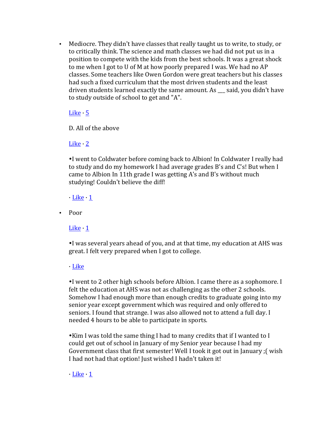• Mediocre. They didn't have classes that really taught us to write, to study, or to critically think. The science and math classes we had did not put us in a position to compete with the kids from the best schools. It was a great shock to me when I got to U of M at how poorly prepared I was. We had no AP classes. Some teachers like Owen Gordon were great teachers but his classes had such a fixed curriculum that the most driven students and the least driven students learned exactly the same amount. As said, you didn't have to study outside of school to get and "A".

### <u>Like</u>  $\cdot$  5

D. All of the above

# Like  $\cdot$  2

I went to Coldwater before coming back to Albion! In Coldwater I really had to study and do my homework I had average grades B's and C's! But when I came to Albion In 11th grade I was getting  $A$ 's and  $B$ 's without much studying! Couldn't believe the diff!

 $\cdot$  Like  $\cdot$  1

• Poor

Like  $\cdot$  1

•I was several years ahead of you, and at that time, my education at AHS was great. I felt very prepared when I got to college.

· Like

•I went to 2 other high schools before Albion. I came there as a sophomore. I felt the education at AHS was not as challenging as the other 2 schools. Somehow I had enough more than enough credits to graduate going into my senior year except government which was required and only offered to seniors. I found that strange. I was also allowed not to attend a full day. I needed 4 hours to be able to participate in sports.

. Kim I was told the same thing I had to many credits that if I wanted to I could get out of school in January of my Senior year because I had my Government class that first semester! Well I took it got out in January ; (wish I had not had that option! Just wished I hadn't taken it!

 $\cdot$  Like  $\cdot$  1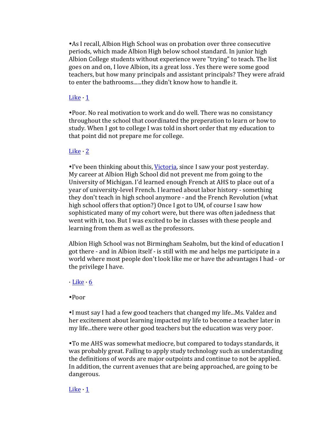• As I recall, Albion High School was on probation over three consecutive periods, which made Albion High below school standard. In junior high Albion College students without experience were "trying" to teach. The list goes on and on, I love Albion, its a great loss . Yes there were some good teachers, but how many principals and assistant principals? They were afraid to enter the bathrooms......they didn't know how to handle it.

#### Like  $\cdot$  1

. Poor. No real motivation to work and do well. There was no consistancy throughout the school that coordinated the preperation to learn or how to study. When I got to college I was told in short order that my education to that point did not prepare me for college.

# Like  $\cdot$  2

. I've been thinking about this, Victoria, since I saw your post yesterday. My career at Albion High School did not prevent me from going to the University of Michigan. I'd learned enough French at AHS to place out of a year of university-level French. I learned about labor history - something they don't teach in high school anymore - and the French Revolution (what high school offers that option?) Once I got to UM, of course I saw how sophisticated many of my cohort were, but there was often jadedness that went with it, too. But I was excited to be in classes with these people and learning from them as well as the professors.

Albion High School was not Birmingham Seaholm, but the kind of education I got there - and in Albion itself - is still with me and helps me participate in a world where most people don't look like me or have the advantages I had - or the privilege I have.

#### $\cdot$  Like  $\cdot$  6

#### !Poor

•I must say I had a few good teachers that changed my life...Ms. Valdez and her excitement about learning impacted my life to become a teacher later in my life...there were other good teachers but the education was very poor.

• To me AHS was somewhat mediocre, but compared to todays standards, it was probably great. Failing to apply study technology such as understanding the definitions of words are major outpoints and continue to not be applied. In addition, the current avenues that are being approached, are going to be dangerous.

#### Like  $\cdot$  1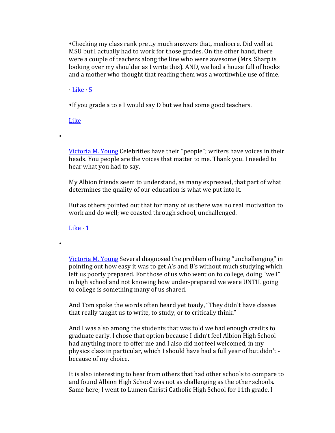. Checking my class rank pretty much answers that, mediocre. Did well at MSU but I actually had to work for those grades. On the other hand, there were a couple of teachers along the line who were awesome (Mrs. Sharp is looking over my shoulder as I write this). AND, we had a house full of books and a mother who thought that reading them was a worthwhile use of time.

 $\cdot$  Like  $\cdot$  5

. If you grade a to e I would say D but we had some good teachers.

Like

•

•

Victoria M. Young Celebrities have their "people"; writers have voices in their heads. You people are the voices that matter to me. Thank you. I needed to hear what you had to say.

My Albion friends seem to understand, as many expressed, that part of what determines the quality of our education is what we put into it.

But as others pointed out that for many of us there was no real motivation to work and do well; we coasted through school, unchallenged.

Like  $\cdot$  1

Victoria M. Young Several diagnosed the problem of being "unchallenging" in pointing out how easy it was to get A's and B's without much studying which left us poorly prepared. For those of us who went on to college, doing "well" in high school and not knowing how under-prepared we were UNTIL going to college is something many of us shared.

And Tom spoke the words often heard yet toady, "They didn't have classes that really taught us to write, to study, or to critically think."

And I was also among the students that was told we had enough credits to graduate early. I chose that option because I didn't feel Albion High School had anything more to offer me and I also did not feel welcomed, in my physics class in particular, which I should have had a full year of but didn't because of my choice.

It is also interesting to hear from others that had other schools to compare to and found Albion High School was not as challenging as the other schools. Same here; I went to Lumen Christi Catholic High School for 11th grade. I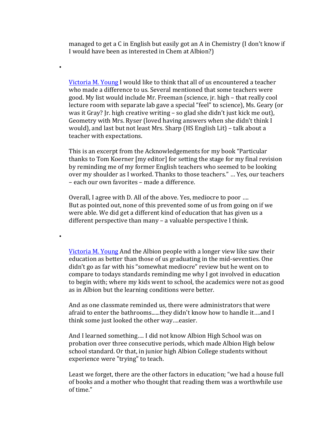managed to get a C in English but easily got an A in Chemistry (I don't know if I would have been as interested in Chem at Albion?)

•

•

Victoria M. Young I would like to think that all of us encountered a teacher who made a difference to us. Several mentioned that some teachers were good. My list would include Mr. Freeman (science, jr. high – that really cool lecture room with separate lab gave a special "feel" to science), Ms. Geary (or was it Gray? Ir. high creative writing  $-$  so glad she didn't just kick me out), Geometry with Mrs. Ryser (loved having answers when she didn't think I would), and last but not least Mrs. Sharp (HS English Lit) – talk about a teacher with expectations.

This is an excerpt from the Acknowledgements for my book "Particular thanks to Tom Koerner [my editor] for setting the stage for my final revision by reminding me of my former English teachers who seemed to be looking over my shoulder as I worked. Thanks to those teachers." ... Yes, our teachers – each our own favorites – made a difference.

Overall, I agree with D. All of the above. Yes, mediocre to poor .... But as pointed out, none of this prevented some of us from going on if we were able. We did get a different kind of education that has given us a different perspective than many  $-$  a valuable perspective I think.

Victoria M. Young And the Albion people with a longer view like saw their education as better than those of us graduating in the mid-seventies. One didn't go as far with his "somewhat mediocre" review but he went on to compare to todays standards reminding me why I got involved in education to begin with; where my kids went to school, the academics were not as good as in Albion but the learning conditions were better.

And as one classmate reminded us, there were administrators that were afraid to enter the bathrooms......they didn't know how to handle it....and I think some just looked the other way....easier.

And I learned something.... I did not know Albion High School was on probation over three consecutive periods, which made Albion High below school standard. Or that, in junior high Albion College students without experience were "trying" to teach.

Least we forget, there are the other factors in education; "we had a house full of books and a mother who thought that reading them was a worthwhile use of time."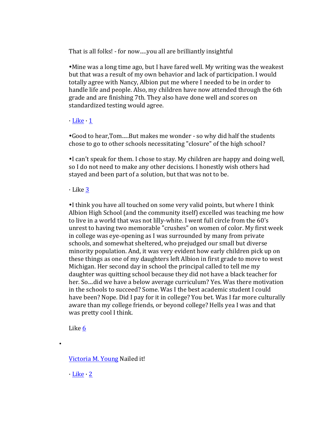That is all folks! - for now.....you all are brilliantly insightful

• Mine was a long time ago, but I have fared well. My writing was the weakest but that was a result of my own behavior and lack of participation. I would totally agree with Nancy, Albion put me where I needed to be in order to handle life and people. Also, my children have now attended through the 6th grade and are finishing 7th. They also have done well and scores on standardized testing would agree.

#### $\cdot$  Like  $\cdot$  1

•Good to hear, Tom.....But makes me wonder - so why did half the students chose to go to other schools necessitating "closure" of the high school?

I can't speak for them. I chose to stay. My children are happy and doing well, so I do not need to make any other decisions. I honestly wish others had stayed and been part of a solution, but that was not to be.

# $\cdot$  Like 3

. I think you have all touched on some very valid points, but where I think Albion High School (and the community itself) excelled was teaching me how to live in a world that was not lilly-white. I went full circle from the 60's unrest to having two memorable "crushes" on women of color. My first week in college was eye-opening as I was surrounded by many from private schools, and somewhat sheltered, who prejudged our small but diverse minority population. And, it was very evident how early children pick up on these things as one of my daughters left Albion in first grade to move to west Michigan. Her second day in school the principal called to tell me my daughter was quitting school because they did not have a black teacher for her. So ... did we have a below average curriculum? Yes. Was there motivation in the schools to succeed? Some. Was I the best academic student I could have been? Nope. Did I pay for it in college? You bet. Was I far more culturally aware than my college friends, or beyond college? Hells yea I was and that was pretty cool I think.

Like 6

•

Victoria M. Young Nailed it!

 $\cdot$  Like  $\cdot$  2